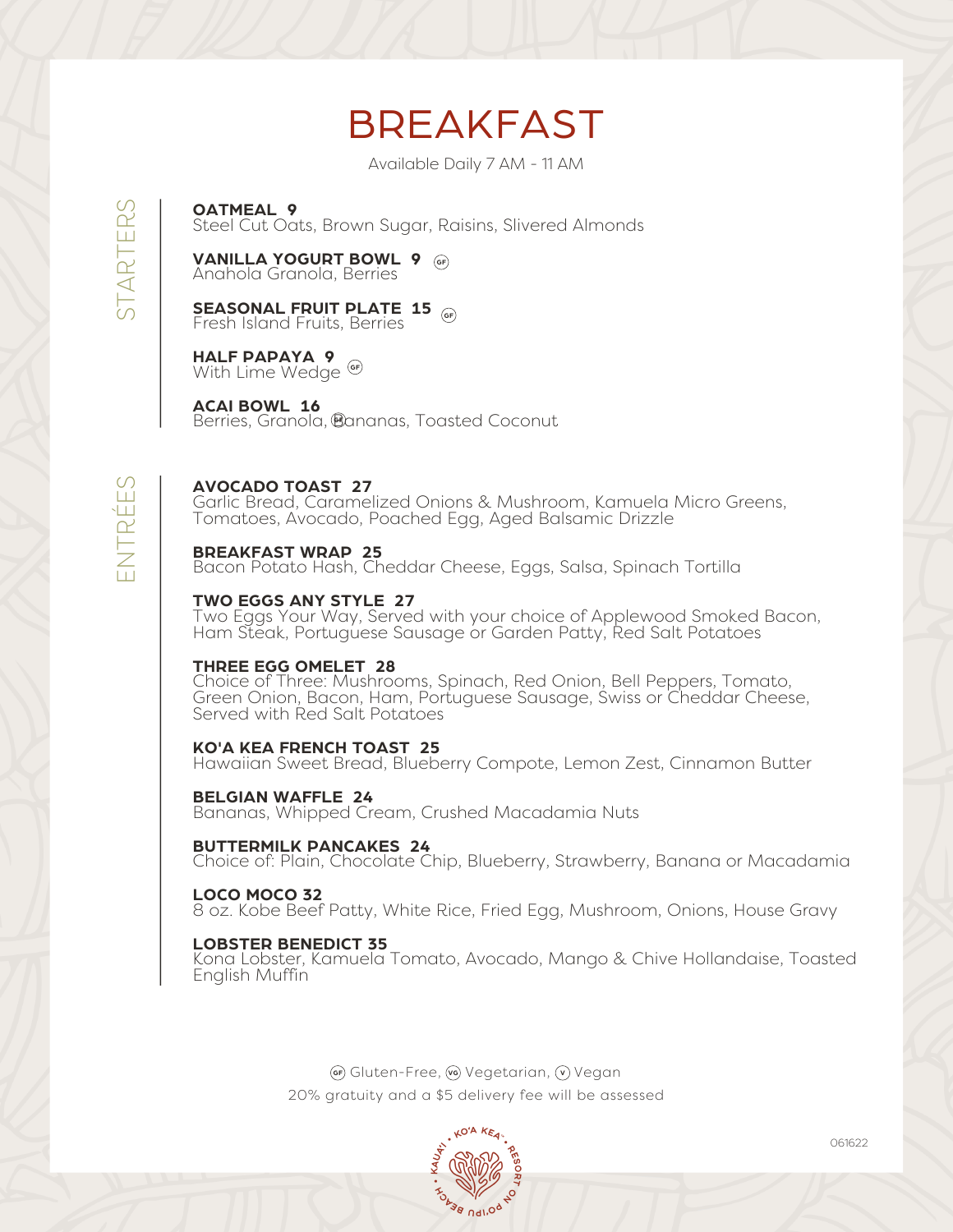# BREAKFAST

Available Daily 7 AM - 11 AM

**OATMEAL 9**

Steel Cut Oats, Brown Sugar, Raisins, Slivered Almonds

**VANILLA YOGURT BOWL 9 GF** Anahola Granola, Berries

**SEASONAL FRUIT PLATE 15 GF** Fresh Island Fruits, Berries

**HALF PAPAYA 9** With Lime Wedge **GF**

**ACAI BOWL 16** Berries, Granola, Bananas, Toasted Coconut **GF**

### **AVOCADO TOAST 27**

Garlic Bread, Caramelized Onions & Mushroom, Kamuela Micro Greens, Tomatoes, Avocado, Poached Egg, Aged Balsamic Drizzle

#### **BREAKFAST WRAP 25**

E $\boldsymbol{\mathcal{Z}}$  $\vdash$  $\mathbb \alpha$ É $\Box$ S

CC)  $\vdash$  $\triangleleft$  $\propto$ H  $\Box$  $\propto$ S

Bacon Potato Hash, Cheddar Cheese, Eggs, Salsa, Spinach Tortilla

#### **TWO EGGS ANY STYLE 27**

Two Eggs Your Way, Served with your choice of Applewood Smoked Bacon, Ham Steak, Portuguese Sausage or Garden Patty, Red Salt Potatoes

#### **THREE EGG OMELET 28**

Choice of Three: Mushrooms, Spinach, Red Onion, Bell Peppers, Tomato, Green Onion, Bacon, Ham, Portuguese Sausage, Swiss or Cheddar Cheese, Served with Red Salt Potatoes

#### **KO'A KEA FRENCH TOAST 25**

Hawaiian Sweet Bread, Blueberry Compote, Lemon Zest, Cinnamon Butter

**BELGIAN WAFFLE 24** Bananas, Whipped Cream, Crushed Macadamia Nuts

#### **BUTTERMILK PANCAKES 24**

Choice of: Plain, Chocolate Chip, Blueberry, Strawberry, Banana or Macadamia

#### **LOCO MOCO 32**

8 oz. Kobe Beef Patty, White Rice, Fried Egg, Mushroom, Onions, House Gravy

#### **LOBSTER BENEDICT 35**

Kona Lobster, Kamuela Tomato, Avocado, Mango & Chive Hollandaise, Toasted English Muffin

> **GF**) Gluten-Free, (vg) Vegetarian, (v) Vegan 20% gratuity and a \$5 delivery fee will be assessed

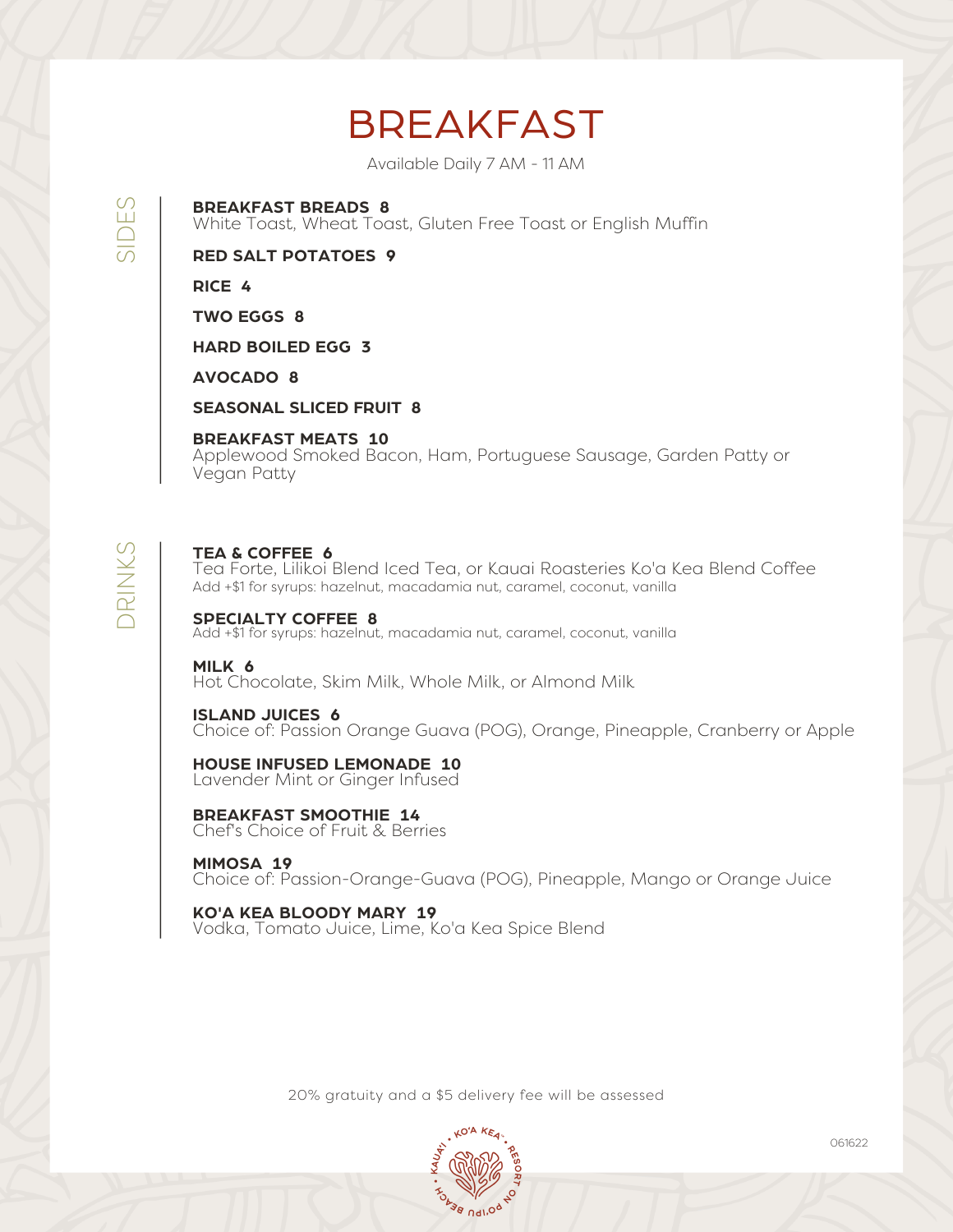# BREAKFAST

Available Daily 7 AM - 11 AM

**BREAKFAST BREADS 8**

White Toast, Wheat Toast, Gluten Free Toast or English Muffin

**RED SALT POTATOES 9**

**RICE 4**

**TWO EGGS 8**

**HARD BOILED EGG 3**

**AVOCADO 8**

**SEASONAL SLICED FRUIT 8**

**BREAKFAST MEATS 10**

Applewood Smoked Bacon, Ham, Portuguese Sausage, Garden Patty or Vegan Patty

# $\bigcap$  $\frac{\mathsf{K}}{\mathsf{K}}$  $\geq$ S

 $\overline{\bigcirc}$  $\Box$ S

#### **TEA & COFFEE 6**

Tea Forte, Lilikoi Blend Iced Tea, or Kauai Roasteries Ko'a Kea Blend Coffee Add +\$1 for syrups: hazelnut, macadamia nut, caramel, coconut, vanilla

**SPECIALTY COFFEE 8** Add +\$1 for syrups: hazelnut, macadamia nut, caramel, coconut, vanilla

**MILK 6** Hot Chocolate, Skim Milk, Whole Milk, or Almond Milk

**ISLAND JUICES 6** Choice of: Passion Orange Guava (POG), Orange, Pineapple, Cranberry or Apple

**HOUSE INFUSED LEMONADE 10** Lavender Mint or Ginger Infused

**BREAKFAST SMOOTHIE 14** Chef's Choice of Fruit & Berries

**MIMOSA 19** Choice of: Passion-Orange-Guava (POG), Pineapple, Mango or Orange Juice

**KO'A KEA BLOODY MARY 19** Vodka, Tomato Juice, Lime, Ko'a Kea Spice Blend

20% gratuity and a \$5 delivery fee will be assessed



061622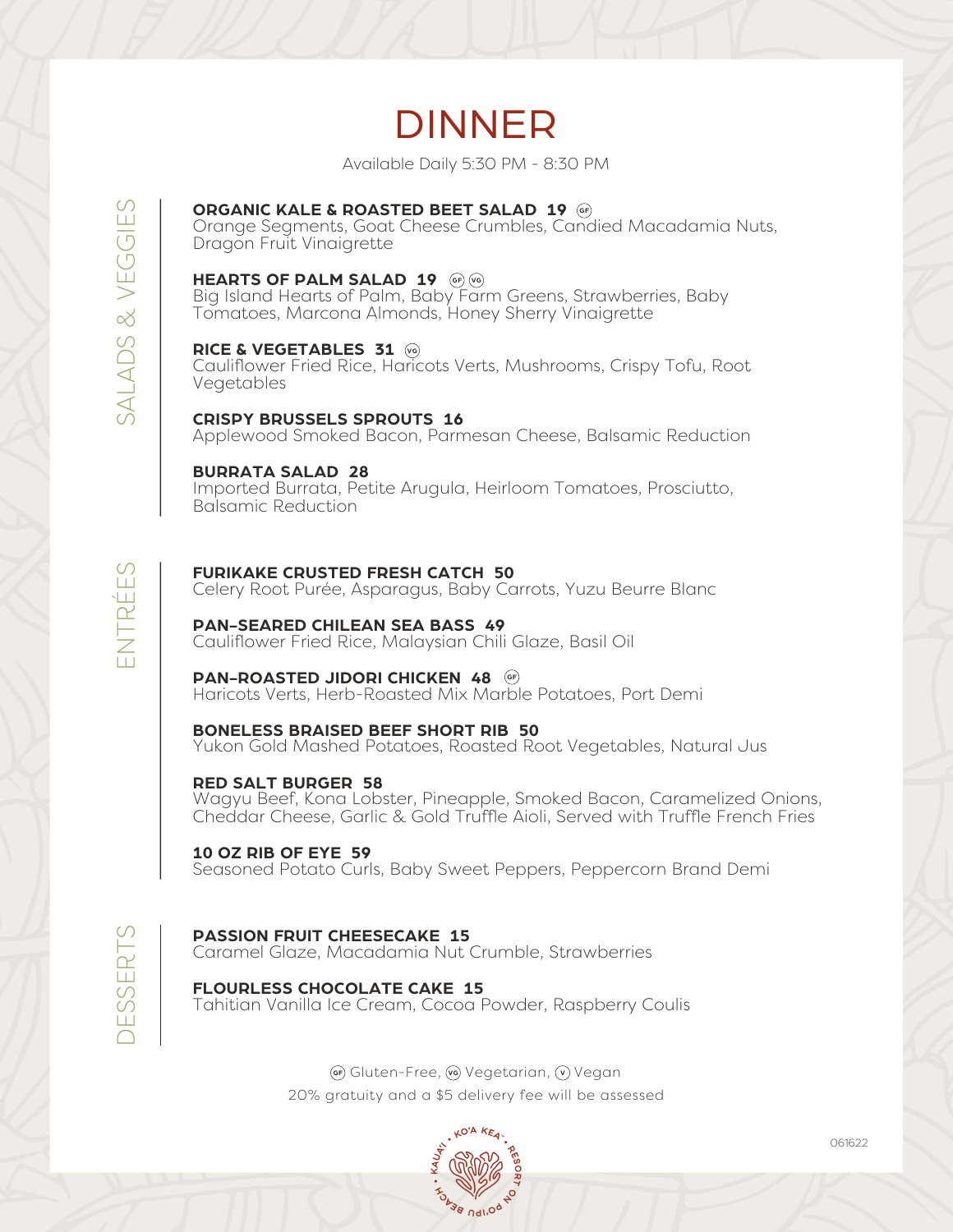# DINNER

Available Daily 5:30 PM - 8:30 PM

### **ORGANIC KALE & ROASTED BEET SALAD 19 GF**

Orange Segments, Goat Cheese Crumbles, Candied Macadamia Nuts, Dragon Fruit Vinaigrette

#### **HEARTS OF PALM SALAD 19 GF**  $\text{V}$

Big Island Hearts of Palm, Baby Farm Greens, Strawberries, Baby Tomatoes, Marcona Almonds, Honey Sherry Vinaigrette

#### **RICE & VEGETABLES 31 VG**

Cauliflower Fried Rice, Haricots Verts, Mushrooms, Crispy Tofu, Root Vegetables

#### **CRISPY BRUSSELS SPROUTS 16**

Applewood Smoked Bacon, Parmesan Cheese, Balsamic Reduction

#### **BURRATA SALAD 28**

Imported Burrata, Petite Arugula, Heirloom Tomatoes, Prosciutto, Balsamic Reduction

#### **FURIKAKE CRUSTED FRESH CATCH 50**

Celery Root Purée, Asparagus, Baby Carrots, Yuzu Beurre Blanc

#### **PAN-SEARED CHILEAN SEA BASS 49**

Cauliflower Fried Rice, Malaysian Chili Glaze, Basil Oil

#### **PAN-ROASTED JIDORI CHICKEN 48 GF**

Haricots Verts, Herb-Roasted Mix Marble Potatoes, Port Demi

### **BONELESS BRAISED BEEF SHORT RIB 50**

Yukon Gold Mashed Potatoes, Roasted Root Vegetables, Natural Jus

#### **RED SALT BURGER 58**

Wagyu Beef, Kona Lobster, Pineapple, Smoked Bacon, Caramelized Onions, Cheddar Cheese, Garlic & Gold Truffle Aioli, Served with Truffle French Fries

#### **10 OZ RIB OF EYE 59**

Seasoned Potato Curls, Baby Sweet Peppers, Peppercorn Brand Demi

**PASSION FRUIT CHEESECAKE 15**

 $\bigcap$  $\Box$ M  $\cup$ E $\mathbb \alpha$  $\vdash$ M

S  $\triangleleft$  $\triangleq$  $\bigcap$ S  $\propto$  $>$  $\Box$  $\cup$ GIE S

E $\boldsymbol{\mathcal{Z}}$  $\vdash$  $\mathbb \alpha$ ۱Ш  $\Box$ S

Caramel Glaze, Macadamia Nut Crumble, Strawberries

#### **FLOURLESS CHOCOLATE CAKE 15** Tahitian Vanilla Ice Cream, Cocoa Powder, Raspberry Coulis

**GF**) Gluten-Free, (vg) Vegetarian, (v) Vegan 20% gratuity and a \$5 delivery fee will be assessed



061622